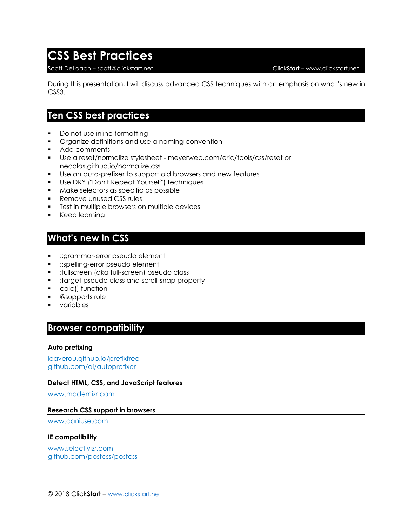# **CSS Best Practices**

### Scott DeLoach – scott@clickstart.net Click**Start** – www.clickstart.net

During this presentation, I will discuss advanced CSS techniques with an emphasis on what's new in CSS3.

## **Ten CSS best practices**

- Do not use inline formatting
- **•** Organize definitions and use a naming convention
- Add comments
- Use a reset/normalize stylesheet meyerweb.com/eric/tools/css/reset or necolas.github.io/normalize.css
- Use an auto-prefixer to support old browsers and new features
- Use DRY ("Don't Repeat Yourself") techniques
- Make selectors as specific as possible
- Remove unused CSS rules
- Test in multiple browsers on multiple devices
- Keep learning

## **What's new in CSS**

- ::grammar-error pseudo element
- **•** ::spelling-error pseudo element
- :fullscreen (aka full-screen) pseudo class
- :target pseudo class and scroll-snap property
- calc() function
- @supports rule
- variables

## **Browser compatibility**

### **Auto prefixing**

[leaverou.github.io/prefixfree](http://leaverou.github.io/prefixfree) [github.com/ai/autoprefixer](http://github.com/ai/autoprefixer)

### **Detect HTML, CSS, and JavaScript features**

[www.modernizr.com](http://www.modernizr.com/)

### **Research CSS support in browsers**

[www.caniuse.com](http://www.caniuse.com/)

#### **IE compatibility**

[www.selectivizr.com](http://www.selectivizr.com/) [github.com/postcss/postcss](http://github.com/postcss/postcss)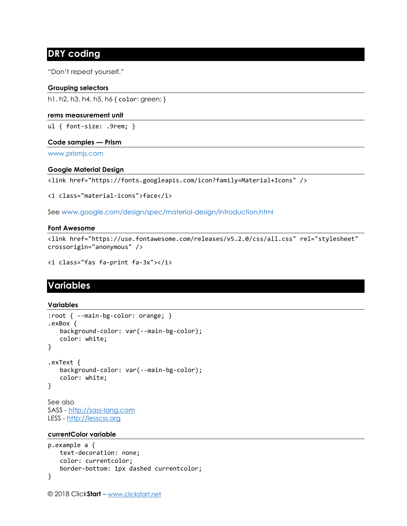## **DRY coding**

"Don't repeat yourself."

### **Grouping selectors**

h1, h2, h3, h4, h5, h6 { color: green; }

### **rems measurement unit**

ul { font-size: .9rem; }

### **Code samples — Prism**

[www.prismjs.com](http://www.prismjs.com/)

### **Google Material Design**

<link href="https://fonts.googleapis.com/icon?family=Material+Icons" />

<i class="material-icons">face</i>

See [www.google.com/design/spec/material-design/introduction.html](http://www.google.com/design/spec/material-design/introduction.html)

### **Font Awesome**

<link href="https://use.fontawesome.com/releases/v5.2.0/css/all.css" rel="stylesheet" crossorigin="anonymous" />

```
<i class="fas fa-print fa-3x"></i>
```
## **Variables**

### **Variables**

```
:root { --main-bg-color: orange; } 
.exBox { 
   background-color: var(--main-bg-color); 
   color: white; 
} 
.exText { 
   background-color: var(--main-bg-color); 
   color: white; 
} 
See also
```
SASS - [http://sass-lang.com](http://sass-lang.com/) LESS - [http://lesscss.org](http://lesscss.org/)

### **currentColor variable**

```
p.example a { 
   text-decoration: none; 
   color: currentcolor; 
   border-bottom: 1px dashed currentcolor; 
}
```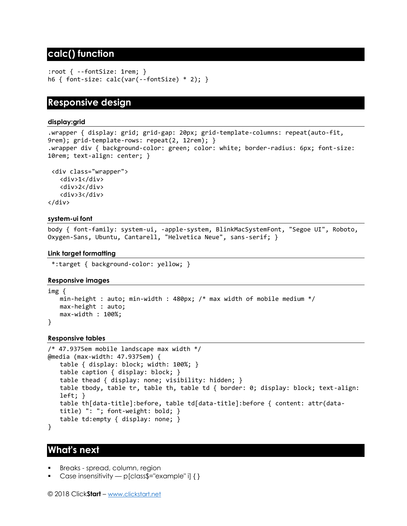## **calc() function**

```
:root { --fontSize: 1rem; } 
h6 { font-size: calc(var(--fontSize) * 2); }
```
## **Responsive design**

### **display:grid**

.wrapper { display: grid; grid-gap: 20px; grid-template-columns: repeat(auto-fit, 9rem); grid-template-rows: repeat(2, 12rem); } .wrapper div { background-color: green; color: white; border-radius: 6px; font-size: 10rem; text-align: center; }

```
<div class="wrapper">
   <div>1</div>
   <div>2</div>
   <div>3</div>
</div>
```
### **system-ui font**

body { font-family: system-ui, -apple-system, BlinkMacSystemFont, "Segoe UI", Roboto, Oxygen-Sans, Ubuntu, Cantarell, "Helvetica Neue", sans-serif; }

### **Link target formatting**

\*:target { background-color: yellow; }

### **Responsive images**

```
img { 
   min-height : auto; min-width : 480px; /* max width of mobile medium */ 
   max-height : auto; 
   max-width : 100%;
}
```
### **Responsive tables**

```
/* 47.9375em mobile landscape max width */ 
@media (max-width: 47.9375em) { 
   table { display: block; width: 100%; } 
   table caption { display: block; } 
   table thead { display: none; visibility: hidden; } 
   table tbody, table tr, table th, table td { border: 0; display: block; text-align: 
   left; } 
   table th[data-title]:before, table td[data-title]:before { content: attr(data-
   title) ": "; font-weight: bold; } 
   table td:empty { display: none; }
}
```
### **What's next**

- Breaks spread, column, region
- Case insensitivity p[class\$="example" i]  $\{\}$